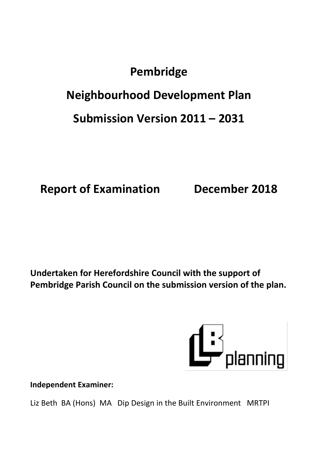# **Pembridge**

# **Neighbourhood Development Plan**

# **Submission Version 2011 – 2031**

**Report of Examination December 2018**

**Undertaken for Herefordshire Council with the support of Pembridge Parish Council on the submission version of the plan.**



**Independent Examiner:**

Liz Beth BA (Hons) MA Dip Design in the Built Environment MRTPI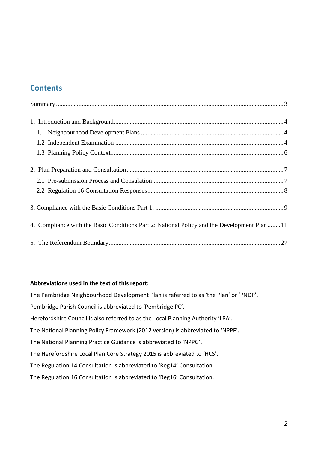## **Contents**

| 4. Compliance with the Basic Conditions Part 2: National Policy and the Development Plan 11 |  |
|---------------------------------------------------------------------------------------------|--|
|                                                                                             |  |

#### **Abbreviations used in the text of this report:**

The Pembridge Neighbourhood Development Plan is referred to as 'the Plan' or 'PNDP'. Pembridge Parish Council is abbreviated to 'Pembridge PC'. Herefordshire Council is also referred to as the Local Planning Authority 'LPA'. The National Planning Policy Framework (2012 version) is abbreviated to 'NPPF'. The National Planning Practice Guidance is abbreviated to 'NPPG'. The Herefordshire Local Plan Core Strategy 2015 is abbreviated to 'HCS'. The Regulation 14 Consultation is abbreviated to 'Reg14' Consultation. The Regulation 16 Consultation is abbreviated to 'Reg16' Consultation.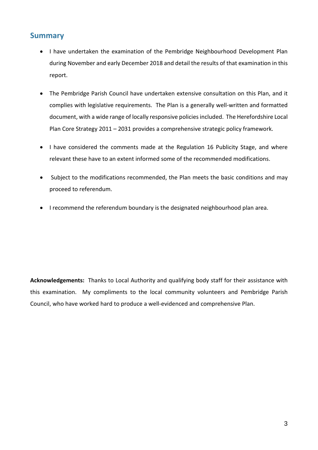### <span id="page-2-0"></span>**Summary**

- I have undertaken the examination of the Pembridge Neighbourhood Development Plan during November and early December 2018 and detail the results of that examination in this report.
- The Pembridge Parish Council have undertaken extensive consultation on this Plan, and it complies with legislative requirements. The Plan is a generally well-written and formatted document, with a wide range of locally responsive policies included. The Herefordshire Local Plan Core Strategy 2011 – 2031 provides a comprehensive strategic policy framework.
- I have considered the comments made at the Regulation 16 Publicity Stage, and where relevant these have to an extent informed some of the recommended modifications.
- Subject to the modifications recommended, the Plan meets the basic conditions and may proceed to referendum.
- I recommend the referendum boundary is the designated neighbourhood plan area.

**Acknowledgements:** Thanks to Local Authority and qualifying body staff for their assistance with this examination. My compliments to the local community volunteers and Pembridge Parish Council, who have worked hard to produce a well-evidenced and comprehensive Plan.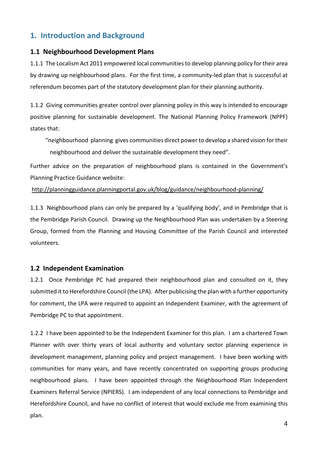## <span id="page-3-0"></span>**1. Introduction and Background**

#### <span id="page-3-1"></span>**1.1 Neighbourhood Development Plans**

1.1.1 The Localism Act 2011 empowered local communitiesto develop planning policy for their area by drawing up neighbourhood plans. For the first time, a community-led plan that is successful at referendum becomes part of the statutory development plan for their planning authority.

1.1.2 Giving communities greater control over planning policy in this way is intended to encourage positive planning for sustainable development. The National Planning Policy Framework (NPPF) states that:

"neighbourhood planning gives communities direct powerto develop a shared vision for their neighbourhood and deliver the sustainable development they need".

Further advice on the preparation of neighbourhood plans is contained in the Government's Planning Practice Guidance website:

<http://planningguidance.planningportal.gov.uk/blog/guidance/neighbourhood-planning/>

1.1.3 Neighbourhood plans can only be prepared by a 'qualifying body', and in Pembridge that is the Pembridge Parish Council. Drawing up the Neighbourhood Plan was undertaken by a Steering Group, formed from the Planning and Housing Committee of the Parish Council and interested volunteers.

#### <span id="page-3-2"></span>**1.2 Independent Examination**

1.2.1 Once Pembridge PC had prepared their neighbourhood plan and consulted on it, they submitted it to Herefordshire Council (the LPA). After publicising the plan with a further opportunity for comment, the LPA were required to appoint an Independent Examiner, with the agreement of Pembridge PC to that appointment.

1.2.2 I have been appointed to be the Independent Examiner for this plan. I am a chartered Town Planner with over thirty years of local authority and voluntary sector planning experience in development management, planning policy and project management. I have been working with communities for many years, and have recently concentrated on supporting groups producing neighbourhood plans. I have been appointed through the Neighbourhood Plan Independent Examiners Referral Service (NPIERS). I am independent of any local connections to Pembridge and Herefordshire Council, and have no conflict of interest that would exclude me from examining this plan.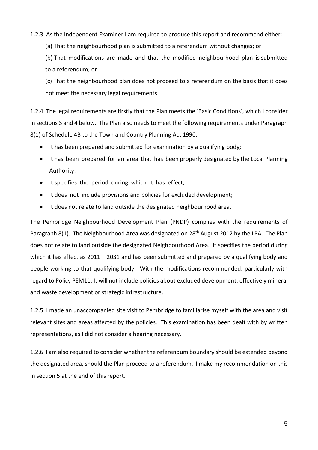#### 1.2.3 As the Independent Examiner I am required to produce this report and recommend either:

(a) That the neighbourhood plan is submitted to a referendum without changes; or

(b) That modifications are made and that the modified neighbourhood plan is submitted to a referendum; or

(c) That the neighbourhood plan does not proceed to a referendum on the basis that it does not meet the necessary legal requirements.

1.2.4 The legal requirements are firstly that the Plan meets the 'Basic Conditions', which I consider in sections 3 and 4 below. The Plan also needs to meet the following requirements under Paragraph 8(1) of Schedule 4B to the Town and Country Planning Act 1990:

- It has been prepared and submitted for examination by a qualifying body;
- It has been prepared for an area that has been properly designated by the Local Planning Authority;
- It specifies the period during which it has effect;
- It does not include provisions and policies for excluded development;
- It does not relate to land outside the designated neighbourhood area.

The Pembridge Neighbourhood Development Plan (PNDP) complies with the requirements of Paragraph 8(1). The Neighbourhood Area was designated on 28<sup>th</sup> August 2012 by the LPA. The Plan does not relate to land outside the designated Neighbourhood Area. It specifies the period during which it has effect as 2011 – 2031 and has been submitted and prepared by a qualifying body and people working to that qualifying body. With the modifications recommended, particularly with regard to Policy PEM11, It will not include policies about excluded development; effectively mineral and waste development or strategic infrastructure.

1.2.5 I made an unaccompanied site visit to Pembridge to familiarise myself with the area and visit relevant sites and areas affected by the policies. This examination has been dealt with by written representations, as I did not consider a hearing necessary.

1.2.6 I am also required to consider whether the referendum boundary should be extended beyond the designated area, should the Plan proceed to a referendum. I make my recommendation on this in section 5 at the end of this report.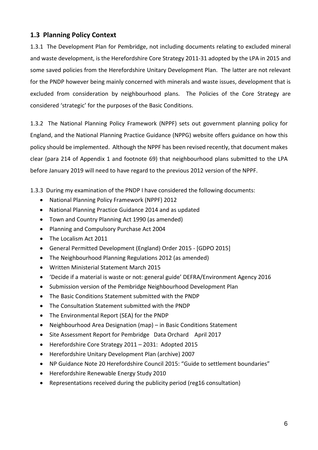### <span id="page-5-0"></span>**1.3 Planning Policy Context**

1.3.1 The Development Plan for Pembridge, not including documents relating to excluded mineral and waste development, is the Herefordshire Core Strategy 2011-31 adopted by the LPA in 2015 and some saved policies from the Herefordshire Unitary Development Plan. The latter are not relevant for the PNDP however being mainly concerned with minerals and waste issues, development that is excluded from consideration by neighbourhood plans. The Policies of the Core Strategy are considered 'strategic' for the purposes of the Basic Conditions.

1.3.2 The National Planning Policy Framework (NPPF) sets out government planning policy for England, and the National Planning Practice Guidance (NPPG) website offers guidance on how this policy should be implemented. Although the NPPF has been revised recently, that document makes clear (para 214 of Appendix 1 and footnote 69) that neighbourhood plans submitted to the LPA before January 2019 will need to have regard to the previous 2012 version of the NPPF.

1.3.3 During my examination of the PNDP I have considered the following documents:

- National Planning Policy Framework (NPPF) 2012
- National Planning Practice Guidance 2014 and as updated
- Town and Country Planning Act 1990 (as amended)
- Planning and Compulsory Purchase Act 2004
- The Localism Act 2011
- General Permitted Development (England) Order 2015 [GDPO 2015]
- The Neighbourhood Planning Regulations 2012 (as amended)
- Written Ministerial Statement March 2015
- 'Decide if a material is waste or not: general guide' DEFRA/Environment Agency 2016
- Submission version of the Pembridge Neighbourhood Development Plan
- The Basic Conditions Statement submitted with the PNDP
- The Consultation Statement submitted with the PNDP
- The Environmental Report (SEA) for the PNDP
- Neighbourhood Area Designation (map) in Basic Conditions Statement
- Site Assessment Report for Pembridge Data Orchard April 2017
- Herefordshire Core Strategy 2011 2031: Adopted 2015
- Herefordshire Unitary Development Plan (archive) 2007
- NP Guidance Note 20 Herefordshire Council 2015: "Guide to settlement boundaries"
- Herefordshire Renewable Energy Study 2010
- Representations received during the publicity period (reg16 consultation)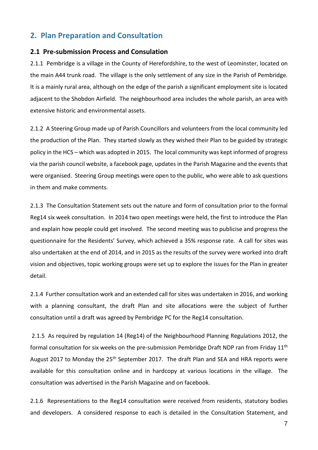## <span id="page-6-0"></span>**2. Plan Preparation and Consultation**

#### <span id="page-6-1"></span>**2.1 Pre-submission Process and Consulation**

2.1.1 Pembridge is a village in the County of Herefordshire, to the west of Leominster, located on the main A44 trunk road. The village is the only settlement of any size in the Parish of Pembridge. It is a mainly rural area, although on the edge of the parish a significant employment site is located adjacent to the Shobdon Airfield. The neighbourhood area includes the whole parish, an area with extensive historic and environmental assets.

2.1.2 A Steering Group made up of Parish Councillors and volunteers from the local community led the production of the Plan. They started slowly as they wished their Plan to be guided by strategic policy in the HCS – which was adopted in 2015. The local community was kept informed of progress via the parish council website, a facebook page, updates in the Parish Magazine and the events that were organised. Steering Group meetings were open to the public, who were able to ask questions in them and make comments.

2.1.3 The Consultation Statement sets out the nature and form of consultation prior to the formal Reg14 six week consultation. In 2014 two open meetings were held, the first to introduce the Plan and explain how people could get involved. The second meeting was to publicise and progress the questionnaire for the Residents' Survey, which achieved a 35% response rate. A call for sites was also undertaken at the end of 2014, and in 2015 as the results of the survey were worked into draft vision and objectives, topic working groups were set up to explore the issues for the Plan in greater detail.

2.1.4 Further consultation work and an extended call for sites was undertaken in 2016, and working with a planning consultant, the draft Plan and site allocations were the subject of further consultation until a draft was agreed by Pembridge PC for the Reg14 consultation.

2.1.5 As required by regulation 14 (Reg14) of the Neighbourhood Planning Regulations 2012, the formal consultation for six weeks on the pre-submission Pembridge Draft NDP ran from Friday 11<sup>th</sup> August 2017 to Monday the 25<sup>th</sup> September 2017. The draft Plan and SEA and HRA reports were available for this consultation online and in hardcopy at various locations in the village. The consultation was advertised in the Parish Magazine and on facebook.

2.1.6 Representations to the Reg14 consultation were received from residents, statutory bodies and developers. A considered response to each is detailed in the Consultation Statement, and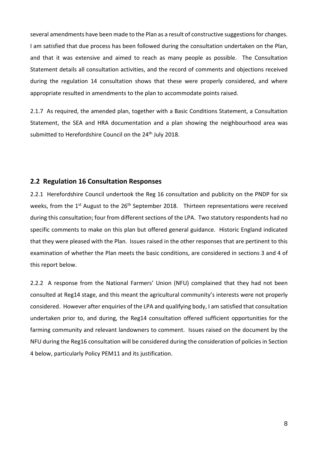several amendments have been made to the Plan as a result of constructive suggestions for changes. I am satisfied that due process has been followed during the consultation undertaken on the Plan, and that it was extensive and aimed to reach as many people as possible. The Consultation Statement details all consultation activities, and the record of comments and objections received during the regulation 14 consultation shows that these were properly considered, and where appropriate resulted in amendments to the plan to accommodate points raised.

2.1.7 As required, the amended plan, together with a Basic Conditions Statement, a Consultation Statement, the SEA and HRA documentation and a plan showing the neighbourhood area was submitted to Herefordshire Council on the 24<sup>th</sup> July 2018.

#### <span id="page-7-0"></span>**2.2 Regulation 16 Consultation Responses**

2.2.1 Herefordshire Council undertook the Reg 16 consultation and publicity on the PNDP for six weeks, from the 1<sup>st</sup> August to the 26<sup>th</sup> September 2018. Thirteen representations were received during this consultation; four from different sections of the LPA. Two statutory respondents had no specific comments to make on this plan but offered general guidance. Historic England indicated that they were pleased with the Plan. Issues raised in the other responses that are pertinent to this examination of whether the Plan meets the basic conditions, are considered in sections 3 and 4 of this report below.

2.2.2 A response from the National Farmers' Union (NFU) complained that they had not been consulted at Reg14 stage, and this meant the agricultural community's interests were not properly considered. However after enquiries of the LPA and qualifying body, I am satisfied that consultation undertaken prior to, and during, the Reg14 consultation offered sufficient opportunities for the farming community and relevant landowners to comment. Issues raised on the document by the NFU during the Reg16 consultation will be considered during the consideration of policies in Section 4 below, particularly Policy PEM11 and its justification.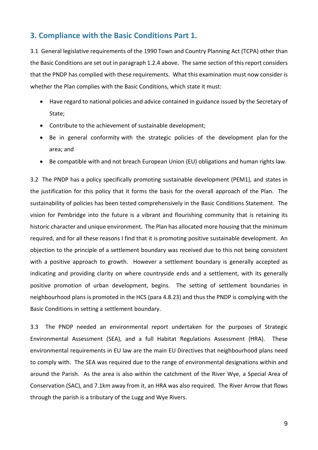## <span id="page-8-0"></span>**3. Compliance with the Basic Conditions Part 1.**

3.1 General legislative requirements of the 1990 Town and Country Planning Act (TCPA) other than the Basic Conditions are set out in paragraph 1.2.4 above. The same section of this report considers that the PNDP has complied with these requirements. What this examination must now consider is whether the Plan complies with the Basic Conditions, which state it must:

- Have regard to national policies and advice contained in guidance issued by the Secretary of State;
- Contribute to the achievement of sustainable development;
- Be in general conformity with the strategic policies of the development plan for the area; and
- Be compatible with and not breach European Union (EU) obligations and human rights law.

3.2 The PNDP has a policy specifically promoting sustainable development (PEM1), and states in the justification for this policy that it forms the basis for the overall approach of the Plan. The sustainability of policies has been tested comprehensively in the Basic Conditions Statement. The vision for Pembridge into the future is a vibrant and flourishing community that is retaining its historic character and unique environment. The Plan has allocated more housing that the minimum required, and for all these reasons I find that it is promoting positive sustainable development. An objection to the principle of a settlement boundary was received due to this not being consistent with a positive approach to growth. However a settlement boundary is generally accepted as indicating and providing clarity on where countryside ends and a settlement, with its generally positive promotion of urban development, begins. The setting of settlement boundaries in neighbourhood plans is promoted in the HCS (para 4.8.23) and thus the PNDP is complying with the Basic Conditions in setting a settlement boundary.

3.3 The PNDP needed an environmental report undertaken for the purposes of Strategic Environmental Assessment (SEA), and a full Habitat Regulations Assessment (HRA). These environmental requirements in EU law are the main EU Directives that neighbourhood plans need to comply with. The SEA was required due to the range of environmental designations within and around the Parish. As the area is also within the catchment of the River Wye, a Special Area of Conservation (SAC), and 7.1km away from it, an HRA was also required. The River Arrow that flows through the parish is a tributary of the Lugg and Wye Rivers.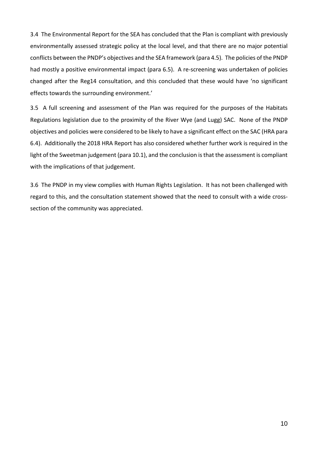3.4 The Environmental Report for the SEA has concluded that the Plan is compliant with previously environmentally assessed strategic policy at the local level, and that there are no major potential conflicts between the PNDP's objectives and the SEA framework (para 4.5). The policies of the PNDP had mostly a positive environmental impact (para 6.5). A re-screening was undertaken of policies changed after the Reg14 consultation, and this concluded that these would have 'no significant effects towards the surrounding environment.'

3.5 A full screening and assessment of the Plan was required for the purposes of the Habitats Regulations legislation due to the proximity of the River Wye (and Lugg) SAC. None of the PNDP objectives and policies were considered to be likely to have a significant effect on the SAC (HRA para 6.4). Additionally the 2018 HRA Report has also considered whether further work is required in the light of the Sweetman judgement (para 10.1), and the conclusion is that the assessment is compliant with the implications of that judgement.

3.6 The PNDP in my view complies with Human Rights Legislation. It has not been challenged with regard to this, and the consultation statement showed that the need to consult with a wide crosssection of the community was appreciated.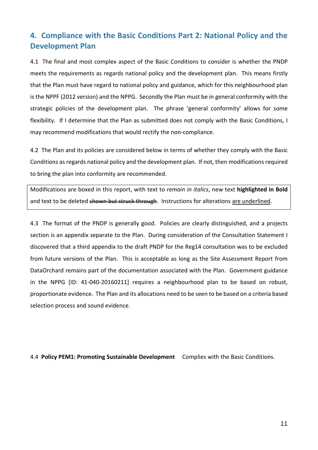## <span id="page-10-0"></span>**4. Compliance with the Basic Conditions Part 2: National Policy and the Development Plan**

4.1 The final and most complex aspect of the Basic Conditions to consider is whether the PNDP meets the requirements as regards national policy and the development plan. This means firstly that the Plan must have regard to national policy and guidance, which for this neighbourhood plan is the NPPF (2012 version) and the NPPG. Secondly the Plan must be in general conformity with the strategic policies of the development plan. The phrase 'general conformity' allows for some flexibility. If I determine that the Plan as submitted does not comply with the Basic Conditions, I may recommend modifications that would rectify the non-compliance.

4.2 The Plan and its policies are considered below in terms of whether they comply with the Basic Conditions as regards national policy and the development plan. If not, then modificationsrequired to bring the plan into conformity are recommended.

Modifications are boxed in this report, with text to *remain in italics*, new text **highlighted in Bold** and text to be deleted shown but struck through. Instructions for alterations are underlined.

4.3 The format of the PNDP is generally good. Policies are clearly distinguished, and a projects section is an appendix separate to the Plan. During consideration of the Consultation Statement I discovered that a third appendix to the draft PNDP for the Reg14 consultation was to be excluded from future versions of the Plan. This is acceptable as long as the Site Assessment Report from DataOrchard remains part of the documentation associated with the Plan. Government guidance in the NPPG [ID: 41-040-20160211] requires a neighbourhood plan to be based on robust, proportionate evidence. The Plan and its allocations need to be seen to be based on a criteria based selection process and sound evidence.

4.4 **Policy PEM1: Promoting Sustainable Development** Complies with the Basic Conditions.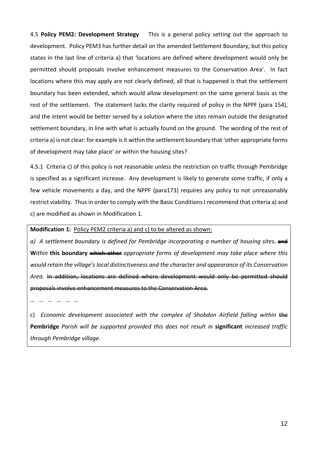4.5 **Policy PEM2: Development Strategy** This is a general policy setting out the approach to development. Policy PEM3 has further detail on the amended Settlement Boundary, but this policy states in the last line of criteria a) that 'locations are defined where development would only be permitted should proposals involve enhancement measures to the Conservation Area'. In fact locations where this may apply are not clearly defined, all that is happened is that the settlement boundary has been extended, which would allow development on the same general basis as the rest of the settlement. The statement lacks the clarity required of policy in the NPPF (para 154), and the intent would be better served by a solution where the sites remain outside the designated settlement boundary, in line with what is actually found on the ground. The wording of the rest of criteria a) is not clear: for example is it within the settlement boundary that 'other appropriate forms of development may take place' or within the housing sites?

4.5.1 Criteria c) of this policy is not reasonable unless the restriction on traffic through Pembridge is specified as a significant increase. Any development is likely to generate some traffic, if only a few vehicle movements a day, and the NPPF (para173) requires any policy to not unreasonably restrict viability. Thus in order to comply with the Basic Conditions I recommend that criteria a) and c) are modified as shown in Modification 1.

**Modification 1:** Policy PEM2 criteria a) and c) to be altered as shown:

*a) A settlement boundary is defined for Pembridge incorporating a number of housing sites***.** and **W***ithin* **this boundary** which other *appropriate forms of development may take place where this would retain the village's local distinctiveness and the character and appearance of its Conservation* Area. In addition, locations are defined where development would only be permitted show proposals involve enhancement measures to the Conservation Area.

… … … … … …

c) *Economic development associated with the complex of Shobdon Airfield falling within* the **Pembridge** *Parish will be supported provided this does not result in* **significant** *increased traffic through Pembridge village.*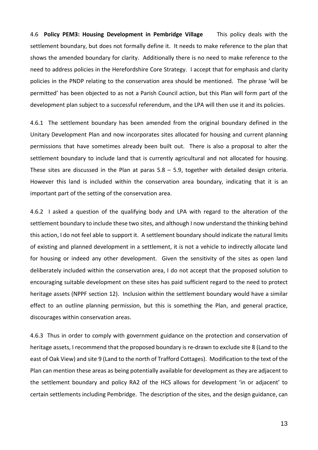4.6 **Policy PEM3: Housing Development in Pembridge Village** This policy deals with the settlement boundary, but does not formally define it. It needs to make reference to the plan that shows the amended boundary for clarity. Additionally there is no need to make reference to the need to address policies in the Herefordshire Core Strategy. I accept that for emphasis and clarity policies in the PNDP relating to the conservation area should be mentioned. The phrase 'will be permitted' has been objected to as not a Parish Council action, but this Plan will form part of the development plan subject to a successful referendum, and the LPA will then use it and its policies.

4.6.1 The settlement boundary has been amended from the original boundary defined in the Unitary Development Plan and now incorporates sites allocated for housing and current planning permissions that have sometimes already been built out. There is also a proposal to alter the settlement boundary to include land that is currently agricultural and not allocated for housing. These sites are discussed in the Plan at paras 5.8 – 5.9, together with detailed design criteria. However this land is included within the conservation area boundary, indicating that it is an important part of the setting of the conservation area.

4.6.2 I asked a question of the qualifying body and LPA with regard to the alteration of the settlement boundary to include these two sites, and although I now understand the thinking behind this action, I do not feel able to support it. A settlement boundary should indicate the natural limits of existing and planned development in a settlement, it is not a vehicle to indirectly allocate land for housing or indeed any other development. Given the sensitivity of the sites as open land deliberately included within the conservation area, I do not accept that the proposed solution to encouraging suitable development on these sites has paid sufficient regard to the need to protect heritage assets (NPPF section 12). Inclusion within the settlement boundary would have a similar effect to an outline planning permission, but this is something the Plan, and general practice, discourages within conservation areas.

4.6.3 Thus in order to comply with government guidance on the protection and conservation of heritage assets, I recommend that the proposed boundary is re-drawn to exclude site 8 (Land to the east of Oak View) and site 9 (Land to the north of Trafford Cottages). Modification to the text of the Plan can mention these areas as being potentially available for development as they are adjacent to the settlement boundary and policy RA2 of the HCS allows for development 'in or adjacent' to certain settlements including Pembridge. The description of the sites, and the design guidance, can

13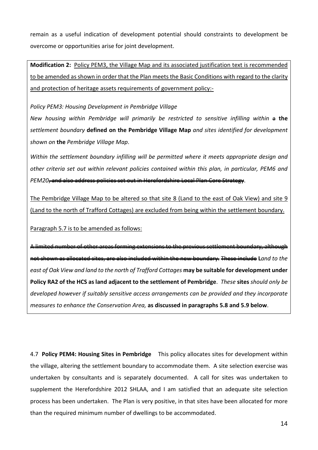remain as a useful indication of development potential should constraints to development be overcome or opportunities arise for joint development.

**Modification 2:** Policy PEM3, the Village Map and its associated justification text is recommended to be amended as shown in order that the Plan meets the Basic Conditions with regard to the clarity and protection of heritage assets requirements of government policy:-

*Policy PEM3: Housing Development in Pembridge Village*

*New housing within Pembridge will primarily be restricted to sensitive infilling within* a **the** *settlement boundary* **defined on the Pembridge Village Map** *and sites identified for development shown on* **the** *Pembridge Village Map*.

*Within the settlement boundary infilling will be permitted where it meets appropriate design and other criteria set out within relevant policies contained within this plan, in particular, PEM6 and PEM20*, and also address policies set out in Herefordshire Local Plan Core Strategy.

The Pembridge Village Map to be altered so that site 8 (Land to the east of Oak View) and site 9 (Land to the north of Trafford Cottages) are excluded from being within the settlement boundary.

Paragraph 5.7 is to be amended as follows:

A limited number of other areas forming extensions to the previous settlement boundary, altho not shown as allocated sites, are also included within the new boundary. These include **L***and to the east of Oak View and land to the north of Trafford Cottages* **may be suitable for development under Policy RA2 of the HCS as land adjacent to the settlement of Pembridge**. *These* **sites** *should only be developed however if suitably sensitive access arrangements can be provided and they incorporate measures to enhance the Conservation Area,* **as discussed in paragraphs 5.8 and 5.9 below**.

4.7 **Policy PEM4: Housing Sites in Pembridge** This policy allocates sites for development within the village, altering the settlement boundary to accommodate them. A site selection exercise was undertaken by consultants and is separately documented. A call for sites was undertaken to supplement the Herefordshire 2012 SHLAA, and I am satisfied that an adequate site selection process has been undertaken. The Plan is very positive, in that sites have been allocated for more than the required minimum number of dwellings to be accommodated.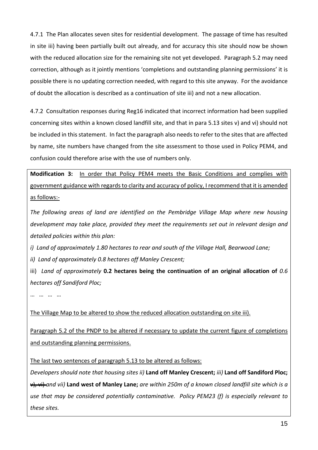4.7.1 The Plan allocates seven sites for residential development. The passage of time has resulted in site iii) having been partially built out already, and for accuracy this site should now be shown with the reduced allocation size for the remaining site not yet developed. Paragraph 5.2 may need correction, although as it jointly mentions 'completions and outstanding planning permissions' it is possible there is no updating correction needed, with regard to this site anyway. For the avoidance of doubt the allocation is described as a continuation of site iii) and not a new allocation.

4.7.2 Consultation responses during Reg16 indicated that incorrect information had been supplied concerning sites within a known closed landfill site, and that in para 5.13 sites v) and vi) should not be included in this statement. In fact the paragraph also needs to refer to the sites that are affected by name, site numbers have changed from the site assessment to those used in Policy PEM4, and confusion could therefore arise with the use of numbers only.

**Modification 3:** In order that Policy PEM4 meets the Basic Conditions and complies with government guidance with regards to clarity and accuracy of policy, I recommend that it is amended as follows:-

*The following areas of land are identified on the Pembridge Village Map where new housing development may take place, provided they meet the requirements set out in relevant design and detailed policies within this plan:*

*i) Land of approximately 1.80 hectares to rear and south of the Village Hall, Bearwood Lane;*

*ii) Land of approximately 0.8 hectares off Manley Crescent;*

iii) *Land of approximately* **0.2 hectares being the continuation of an original allocation of** *0.6 hectares off Sandiford Ploc;*

… … … …

The Village Map to be altered to show the reduced allocation outstanding on site iii).

Paragraph 5.2 of the PNDP to be altered if necessary to update the current figure of completions and outstanding planning permissions.

The last two sentences of paragraph 5.13 to be altered as follows:

*Developers should note that housing sites ii)* **Land off Manley Crescent;** *iii)* **Land off Sandiford Ploc;**  $\frac{1}{x}$   $\frac{1}{x}$  and vii) Land west of Manley Lane; are within 250m of a known closed landfill site which is a *use that may be considered potentially contaminative. Policy PEM23 (f) is especially relevant to these sites.*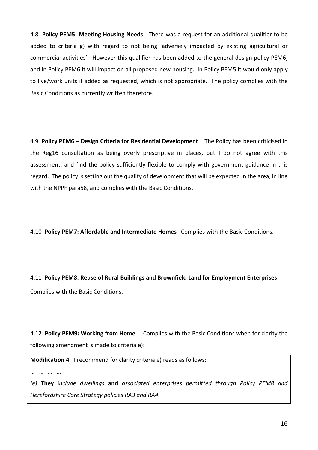4.8 **Policy PEM5: Meeting Housing Needs** There was a request for an additional qualifier to be added to criteria g) with regard to not being 'adversely impacted by existing agricultural or commercial activities'. However this qualifier has been added to the general design policy PEM6, and in Policy PEM6 it will impact on all proposed new housing. In Policy PEM5 it would only apply to live/work units if added as requested, which is not appropriate. The policy complies with the Basic Conditions as currently written therefore.

4.9 **Policy PEM6 – Design Criteria for Residential Development** The Policy has been criticised in the Reg16 consultation as being overly prescriptive in places, but I do not agree with this assessment, and find the policy sufficiently flexible to comply with government guidance in this regard. The policy is setting out the quality of development that will be expected in the area, in line with the NPPF para58, and complies with the Basic Conditions.

4.10 **Policy PEM7: Affordable and Intermediate Homes** Complies with the Basic Conditions.

4.11 **Policy PEM8: Reuse of Rural Buildings and Brownfield Land for Employment Enterprises** Complies with the Basic Conditions.

4.12 **Policy PEM9: Working from Home** Complies with the Basic Conditions when for clarity the following amendment is made to criteria e):

**Modification 4:** I recommend for clarity criteria e) reads as follows:

… … … …

*(e)* **They** i*nclude dwellings* **and** *associated enterprises permitted through Policy PEM8 and Herefordshire Core Strategy policies RA3 and RA4.*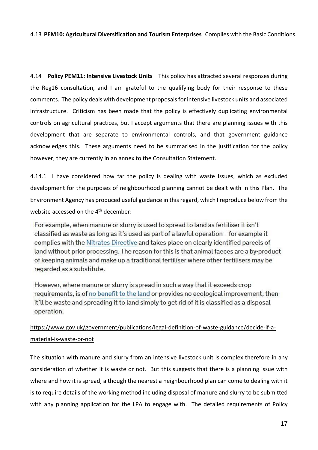#### 4.13 **PEM10: Agricultural Diversification and Tourism Enterprises** Complies with the Basic Conditions.

4.14 **Policy PEM11: Intensive Livestock Units** This policy has attracted several responses during the Reg16 consultation, and I am grateful to the qualifying body for their response to these comments. The policy deals with development proposalsforintensive livestock units and associated infrastructure. Criticism has been made that the policy is effectively duplicating environmental controls on agricultural practices, but I accept arguments that there are planning issues with this development that are separate to environmental controls, and that government guidance acknowledges this. These arguments need to be summarised in the justification for the policy however; they are currently in an annex to the Consultation Statement.

4.14.1 I have considered how far the policy is dealing with waste issues, which as excluded development for the purposes of neighbourhood planning cannot be dealt with in this Plan. The Environment Agency has produced useful guidance in thisregard, which I reproduce below from the website accessed on the 4<sup>th</sup> december:

For example, when manure or slurry is used to spread to land as fertiliser it isn't classified as waste as long as it's used as part of a lawful operation - for example it complies with the Nitrates Directive and takes place on clearly identified parcels of land without prior processing. The reason for this is that animal faeces are a by-product of keeping animals and make up a traditional fertiliser where other fertilisers may be regarded as a substitute.

However, where manure or slurry is spread in such a way that it exceeds crop requirements, is of no benefit to the land or provides no ecological improvement, then it'll be waste and spreading it to land simply to get rid of it is classified as a disposal operation.

## [https://www.gov.uk/government/publications/legal-definition-of-waste-guidance/decide-if-a](https://www.gov.uk/government/publications/legal-definition-of-waste-guidance/decide-if-a-material-is-waste-or-not)[material-is-waste-or-not](https://www.gov.uk/government/publications/legal-definition-of-waste-guidance/decide-if-a-material-is-waste-or-not)

The situation with manure and slurry from an intensive livestock unit is complex therefore in any consideration of whether it is waste or not. But this suggests that there is a planning issue with where and how it is spread, although the nearest a neighbourhood plan can come to dealing with it is to require details of the working method including disposal of manure and slurry to be submitted with any planning application for the LPA to engage with. The detailed requirements of Policy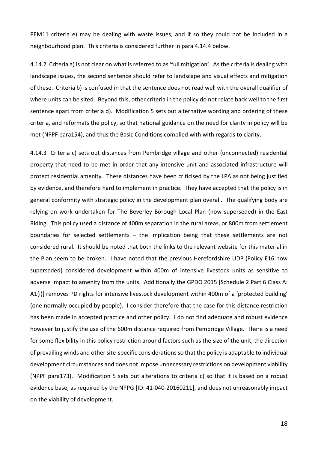PEM11 criteria e) may be dealing with waste issues, and if so they could not be included in a neighbourhood plan. This criteria is considered further in para 4.14.4 below.

4.14.2 Criteria a) is not clear on what is referred to as 'full mitigation'. As the criteria is dealing with landscape issues, the second sentence should refer to landscape and visual effects and mitigation of these. Criteria b) is confused in that the sentence does not read well with the overall qualifier of where units can be sited. Beyond this, other criteria in the policy do not relate back well to the first sentence apart from criteria d). Modification 5 sets out alternative wording and ordering of these criteria, and reformats the policy, so that national guidance on the need for clarity in policy will be met (NPPF para154), and thus the Basic Conditions complied with with regards to clarity.

4.14.3 Criteria c) sets out distances from Pembridge village and other (unconnected) residential property that need to be met in order that any intensive unit and associated infrastructure will protect residential amenity. These distances have been criticised by the LPA as not being justified by evidence, and therefore hard to implement in practice. They have accepted that the policy is in general conformity with strategic policy in the development plan overall. The qualifying body are relying on work undertaken for The Beverley Borough Local Plan (now superseded) in the East Riding. This policy used a distance of 400m separation in the rural areas, or 800m from settlement boundaries for selected settlements – the implication being that these settlements are not considered rural. It should be noted that both the links to the relevant website for this material in the Plan seem to be broken. I have noted that the previous Herefordshire UDP (Policy E16 now superseded) considered development within 400m of intensive livestock units as sensitive to adverse impact to amenity from the units. Additionally the GPDO 2015 [Schedule 2 Part 6 Class A: A1(i)] removes PD rights for intensive livestock development within 400m of a 'protected building' (one normally occupied by people). I consider therefore that the case for this distance restriction has been made in accepted practice and other policy. I do not find adequate and robust evidence however to justify the use of the 600m distance required from Pembridge Village. There is a need for some flexibility in this policy restriction around factors such as the size of the unit, the direction of prevailing winds and other site-specific considerations so that the policy is adaptable to individual development circumstances and does not impose unnecessary restrictions on development viability (NPPF para173). Modification 5 sets out alterations to criteria c) so that it is based on a robust evidence base, as required by the NPPG [ID: 41-040-20160211], and does not unreasonably impact on the viability of development.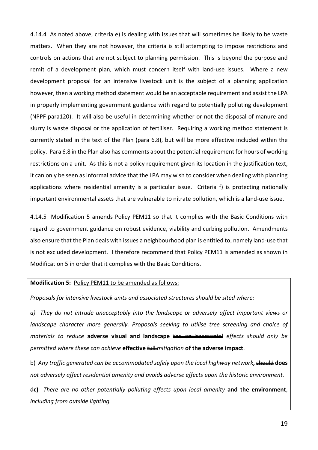4.14.4 As noted above, criteria e) is dealing with issues that will sometimes be likely to be waste matters. When they are not however, the criteria is still attempting to impose restrictions and controls on actions that are not subject to planning permission. This is beyond the purpose and remit of a development plan, which must concern itself with land-use issues. Where a new development proposal for an intensive livestock unit is the subject of a planning application however, then a working method statement would be an acceptable requirement and assist the LPA in properly implementing government guidance with regard to potentially polluting development (NPPF para120). It will also be useful in determining whether or not the disposal of manure and slurry is waste disposal or the application of fertiliser. Requiring a working method statement is currently stated in the text of the Plan (para 6.8), but will be more effective included within the policy. Para 6.8 in the Plan also has comments about the potential requirement for hours of working restrictions on a unit. As this is not a policy requirement given its location in the justification text, it can only be seen as informal advice that the LPA may wish to consider when dealing with planning applications where residential amenity is a particular issue. Criteria f) is protecting nationally important environmental assets that are vulnerable to nitrate pollution, which is a land-use issue.

4.14.5 Modification 5 amends Policy PEM11 so that it complies with the Basic Conditions with regard to government guidance on robust evidence, viability and curbing pollution. Amendments also ensure that the Plan deals with issues a neighbourhood plan is entitled to, namely land-use that is not excluded development. I therefore recommend that Policy PEM11 is amended as shown in Modification 5 in order that it complies with the Basic Conditions.

#### **Modification 5:** Policy PEM11 to be amended as follows:

*Proposals for intensive livestock units and associated structures should be sited where:*

*a) They do not intrude unacceptably into the landscape or adversely affect important views or landscape character more generally. Proposals seeking to utilise tree screening and choice of materials to reduce* **adverse visual and landscape** the environmental *effects should only be permitted where these can achieve* **effective** full *mitigation* **of the adverse impact**.

b) *Any traffic generated can be accommodated safely upon the local highway network***,** should **does** *not adversely affect residential amenity and avoid***s** *adverse effects upon the historic environment.*

d**c)** *There are no other potentially polluting effects upon local amenity* **and the environment**, *including from outside lighting.*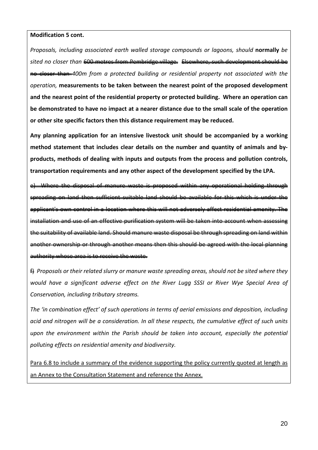#### **Modification 5 cont.**

*Proposals, including associated earth walled storage compounds or lagoons, should* **normally** *be sited no closer than* 600 metres from Pembridge village. Elsewhere, such development should be no closer than *400m from a protected building or residential property not associated with the operation,* **measurements to be taken between the nearest point of the proposed development and the nearest point of the residential property or protected building. Where an operation can be demonstrated to have no impact at a nearer distance due to the small scale of the operation or other site specific factors then this distance requirement may be reduced.**

**Any planning application for an intensive livestock unit should be accompanied by a working method statement that includes clear details on the number and quantity of animals and byproducts, methods of dealing with inputs and outputs from the process and pollution controls, transportation requirements and any other aspect of the development specified by the LPA.**

Where the disposal of manure waste is proposed within any operational spreading on land then sufficient suitable land should be available for this which is under applicant's own control in a location where this will not adversely affect residential amenity. The nstallation and use of an effective purification system will be taken into account the suitability of available land. Should manure waste disposal be through spreading on land within another ownership or through another means then this should be agreed with the local planning authority whose area is to receive the waste.

f) *Proposals or their related slurry or manure waste spreading areas, should not be sited where they would have a significant adverse effect on the River Lugg SSSI or River Wye Special Area of Conservation, including tributary streams.*

*The 'in combination effect' of such operations in terms of aerial emissions and deposition, including acid and nitrogen will be a consideration. In all these respects, the cumulative effect of such units upon the environment within the Parish should be taken into account, especially the potential polluting effects on residential amenity and biodiversity.*

Para 6.8 to include a summary of the evidence supporting the policy currently quoted at length as an Annex to the Consultation Statement and reference the Annex.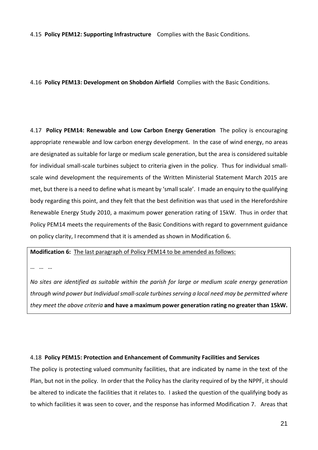4.15 **Policy PEM12: Supporting Infrastructure** Complies with the Basic Conditions.

4.16 **Policy PEM13: Development on Shobdon Airfield** Complies with the Basic Conditions.

4.17 **Policy PEM14: Renewable and Low Carbon Energy Generation** The policy is encouraging appropriate renewable and low carbon energy development. In the case of wind energy, no areas are designated as suitable for large or medium scale generation, but the area is considered suitable for individual small-scale turbines subject to criteria given in the policy. Thus for individual smallscale wind development the requirements of the Written Ministerial Statement March 2015 are met, but there is a need to define what is meant by 'small scale'. I made an enquiry to the qualifying body regarding this point, and they felt that the best definition was that used in the Herefordshire Renewable Energy Study 2010, a maximum power generation rating of 15kW. Thus in order that Policy PEM14 meets the requirements of the Basic Conditions with regard to government guidance on policy clarity, I recommend that it is amended as shown in Modification 6.

**Modification 6:** The last paragraph of Policy PEM14 to be amended as follows:

… …

*No sites are identified as suitable within the parish for large or medium scale energy generation through wind power but Individualsmall-scale turbines serving a local need may be permitted where they meet the above criteria* **and have a maximum power generation rating no greater than 15kW.**

#### 4.18 **Policy PEM15: Protection and Enhancement of Community Facilities and Services**

The policy is protecting valued community facilities, that are indicated by name in the text of the Plan, but not in the policy. In order that the Policy has the clarity required of by the NPPF, it should be altered to indicate the facilities that it relates to. I asked the question of the qualifying body as to which facilities it was seen to cover, and the response has informed Modification 7. Areas that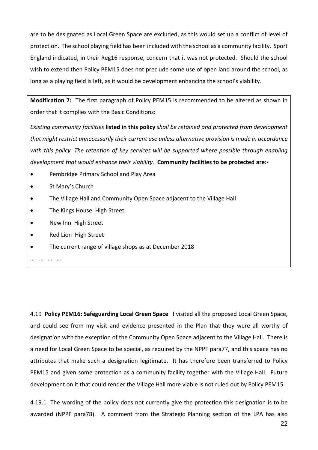are to be designated as Local Green Space are excluded, as this would set up a conflict of level of protection. The school playing field has been included with the school as a community facility. Sport England indicated, in their Reg16 response, concern that it was not protected. Should the school wish to extend then Policy PEM15 does not preclude some use of open land around the school, as long as a playing field is left, as it would be development enhancing the school's viability.

**Modification 7:** The first paragraph of Policy PEM15 is recommended to be altered as shown in order that it complies with the Basic Conditions:

*Existing community facilities* **listed in this policy** *shall be retained and protected from development that might restrict unnecessarily their current use unless alternative provision is made in accordance with this policy. The retention of key services will be supported where possible through enabling development that would enhance their viability.* **Community facilities to be protected are:-**

- Pembridge Primary School and Play Area
- St Mary's Church
- The Village Hall and Community Open Space adjacent to the Village Hall
- **•** The Kings House High Street
- New Inn High Street
- Red Lion High Street
- The current range of village shops as at December 2018

… … … …

4.19 **Policy PEM16: Safeguarding Local Green Space** I visited all the proposed Local Green Space, and could see from my visit and evidence presented in the Plan that they were all worthy of designation with the exception of the Community Open Space adjacent to the Village Hall. There is a need for Local Green Space to be special, as required by the NPPF para77, and this space has no attributes that make such a designation legitimate. It has therefore been transferred to Policy PEM15 and given some protection as a community facility together with the Village Hall. Future development on it that could render the Village Hall more viable is not ruled out by Policy PEM15.

4.19.1 The wording of the policy does not currently give the protection this designation is to be awarded (NPPF para78). A comment from the Strategic Planning section of the LPA has also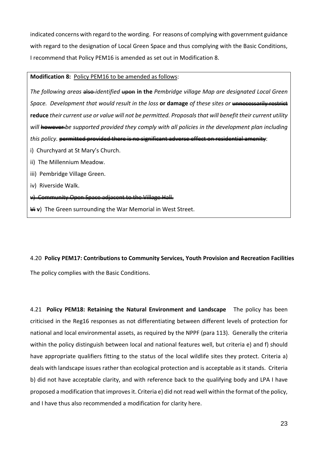indicated concerns with regard to the wording. For reasons of complying with government guidance with regard to the designation of Local Green Space and thus complying with the Basic Conditions, I recommend that Policy PEM16 is amended as set out in Modification 8.

#### **Modification 8:** Policy PEM16 to be amended as follows:

*The following areas* also *identified* upon in the *Pembridge village Map are designated Local Green Space. Development that would result in the loss* **or damage** *of these sites or* unnecessarily restrict **reduce** *their current use or value will not be permitted. Proposalsthat will benefit their current utility will* however *be supported provided they comply with all policies in the development plan including this policy.* permitted provided there is no significant adverse effect on residential amenity:

- i) Churchyard at St Mary's Church.
- ii) The Millennium Meadow.
- iii) Pembridge Village Green.
- iv) Riverside Walk.

#### v) Community Open Space adjacent to the Village Hall.

**Vivaluat v**) The Green surrounding the War Memorial in West Street.

#### 4.20 **Policy PEM17: Contributions to Community Services, Youth Provision and Recreation Facilities**

The policy complies with the Basic Conditions.

4.21 **Policy PEM18: Retaining the Natural Environment and Landscape** The policy has been criticised in the Reg16 responses as not differentiating between different levels of protection for national and local environmental assets, as required by the NPPF (para 113). Generally the criteria within the policy distinguish between local and national features well, but criteria e) and f) should have appropriate qualifiers fitting to the status of the local wildlife sites they protect. Criteria a) deals with landscape issues rather than ecological protection and is acceptable as it stands. Criteria b) did not have acceptable clarity, and with reference back to the qualifying body and LPA I have proposed a modification that improvesit. Criteria e) did not read well within the format ofthe policy, and I have thus also recommended a modification for clarity here.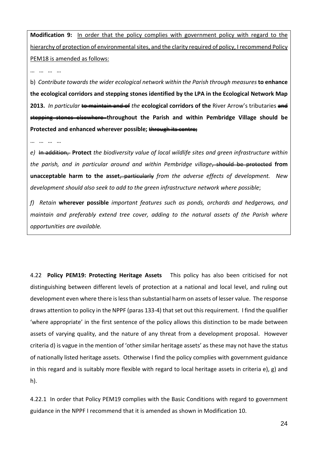**Modification 9:** In order that the policy complies with government policy with regard to the hierarchy of protection of environmental sites, and the clarity required of policy, I recommend Policy PEM18 is amended as follows:

… … … …

b) *Contribute towards the wider ecological network within the Parish through measures* **to enhance the ecological corridors and stepping stones identified by the LPA in the Ecological Network Map 2013.** *In particular* to maintain and of *the* **ecological corridors of the** River Arrow's tributaries and stepping stones elsewhere **throughout the Parish and within Pembridge Village should be Protected and enhanced wherever possible;** through its centre;

… … … …

*e)* In addition, **Protect** *the biodiversity value of local wildlife sites and green infrastructure within the parish, and in particular around and within Pembridge village*, should be protected **from unacceptable harm to the asset**, particularly *from the adverse effects of development. New development should also seek to add to the green infrastructure network where possible*;

*f) Retain* **wherever possible** *important features such as ponds, orchards and hedgerows, and maintain and preferably extend tree cover, adding to the natural assets of the Parish where opportunities are available.*

4.22 **Policy PEM19: Protecting Heritage Assets** This policy has also been criticised for not distinguishing between different levels of protection at a national and local level, and ruling out development even where there islessthan substantial harm on assets of lesser value. The response draws attention to policy in the NPPF (paras 133-4) that set out this requirement. I find the qualifier 'where appropriate' in the first sentence of the policy allows this distinction to be made between assets of varying quality, and the nature of any threat from a development proposal. However criteria d) is vague in the mention of 'other similar heritage assets' as these may not have the status of nationally listed heritage assets. Otherwise I find the policy complies with government guidance in this regard and is suitably more flexible with regard to local heritage assets in criteria e), g) and h).

4.22.1 In order that Policy PEM19 complies with the Basic Conditions with regard to government guidance in the NPPF I recommend that it is amended as shown in Modification 10.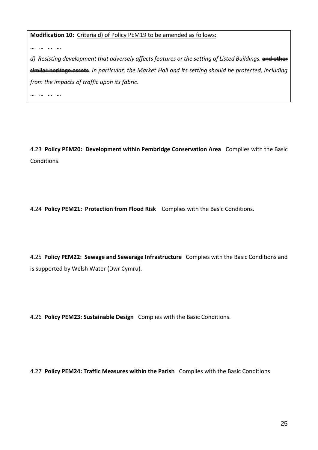**Modification 10:** Criteria d) of Policy PEM19 to be amended as follows:

… … … …

*d) Resisting development that adversely affects features or the setting of Listed Buildings.* and other similar heritage assets. *In particular, the Market Hall and its setting should be protected, including from the impacts of traffic upon its fabric*.

… … … …

4.23 **Policy PEM20: Development within Pembridge Conservation Area** Complies with the Basic Conditions.

4.24 **Policy PEM21: Protection from Flood Risk** Complies with the Basic Conditions.

4.25 **Policy PEM22: Sewage and Sewerage Infrastructure** Complies with the Basic Conditions and is supported by Welsh Water (Dwr Cymru).

4.26 **Policy PEM23: Sustainable Design** Complies with the Basic Conditions.

4.27 **Policy PEM24: Traffic Measures within the Parish** Complies with the Basic Conditions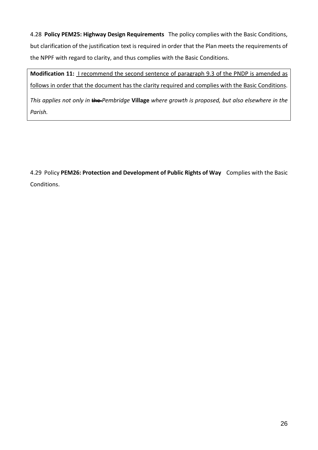4.28 **Policy PEM25: Highway Design Requirements** The policy complies with the Basic Conditions, but clarification of the justification text is required in order that the Plan meets the requirements of the NPPF with regard to clarity, and thus complies with the Basic Conditions.

**Modification 11:** I recommend the second sentence of paragraph 9.3 of the PNDP is amended as follows in order that the document has the clarity required and complies with the Basic Conditions.

*This applies not only in* the *Pembridge* **Village** *where growth is proposed, but also elsewhere in the Parish.*

4.29 Policy **PEM26: Protection and Development of Public Rights of Way** Complies with the Basic Conditions.